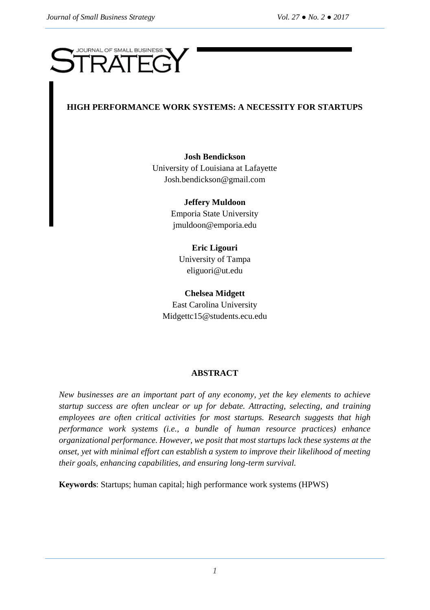# **JOURNAL OF SMALL BUSINESS**  $\overline{\phantom{a}}$

# **HIGH PERFORMANCE WORK SYSTEMS: A NECESSITY FOR STARTUPS**

**Josh Bendickson** University of Louisiana at Lafayette Josh.bendickson@gmail.com

> **Jeffery Muldoon** Emporia State University [jmuldoon@emporia.edu](mailto:jmuldoon@emporia.edu)

**Eric Ligouri** University of Tampa [eliguori@ut.edu](mailto:eliguori@ut.edu)

**Chelsea Midgett** East Carolina University [Midgettc15@students.ecu.edu](mailto:Midgettc15@students.ecu.edu)

# **ABSTRACT**

*New businesses are an important part of any economy, yet the key elements to achieve startup success are often unclear or up for debate. Attracting, selecting, and training employees are often critical activities for most startups. Research suggests that high performance work systems (i.e., a bundle of human resource practices) enhance organizational performance. However, we posit that most startups lack these systems at the onset, yet with minimal effort can establish a system to improve their likelihood of meeting their goals, enhancing capabilities, and ensuring long-term survival.* 

**Keywords**: Startups; human capital; high performance work systems (HPWS)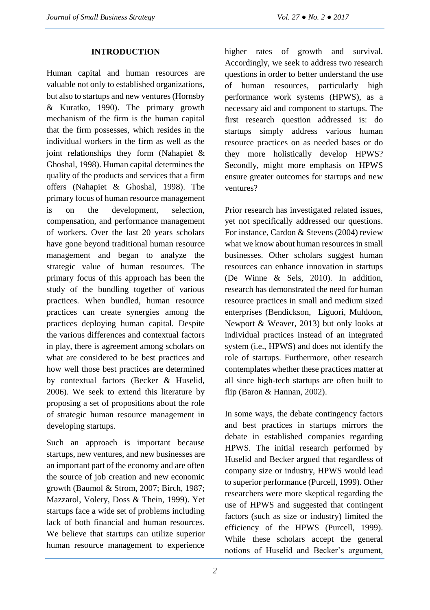#### **INTRODUCTION**

Human capital and human resources are valuable not only to established organizations, but also to startups and new ventures (Hornsby & Kuratko, 1990). The primary growth mechanism of the firm is the human capital that the firm possesses, which resides in the individual workers in the firm as well as the joint relationships they form (Nahapiet & Ghoshal, 1998). Human capital determines the quality of the products and services that a firm offers (Nahapiet & Ghoshal, 1998). The primary focus of human resource management is on the development, selection, compensation, and performance management of workers. Over the last 20 years scholars have gone beyond traditional human resource management and began to analyze the strategic value of human resources. The primary focus of this approach has been the study of the bundling together of various practices. When bundled, human resource practices can create synergies among the practices deploying human capital. Despite the various differences and contextual factors in play, there is agreement among scholars on what are considered to be best practices and how well those best practices are determined by contextual factors (Becker & Huselid, 2006). We seek to extend this literature by proposing a set of propositions about the role of strategic human resource management in developing startups.

Such an approach is important because startups, new ventures, and new businesses are an important part of the economy and are often the source of job creation and new economic growth (Baumol & Strom, 2007; Birch, 1987; Mazzarol, Volery, Doss & Thein, 1999). Yet startups face a wide set of problems including lack of both financial and human resources. We believe that startups can utilize superior human resource management to experience higher rates of growth and survival. Accordingly, we seek to address two research questions in order to better understand the use of human resources, particularly high performance work systems (HPWS), as a necessary aid and component to startups. The first research question addressed is: do startups simply address various human resource practices on as needed bases or do they more holistically develop HPWS? Secondly, might more emphasis on HPWS ensure greater outcomes for startups and new ventures?

Prior research has investigated related issues, yet not specifically addressed our questions. For instance, Cardon & Stevens (2004) review what we know about human resources in small businesses. Other scholars suggest human resources can enhance innovation in startups (De Winne & Sels, 2010). In addition, research has demonstrated the need for human resource practices in small and medium sized enterprises (Bendickson, Liguori, Muldoon, Newport & Weaver, 2013) but only looks at individual practices instead of an integrated system (i.e., HPWS) and does not identify the role of startups. Furthermore, other research contemplates whether these practices matter at all since high-tech startups are often built to flip (Baron & Hannan, 2002).

In some ways, the debate contingency factors and best practices in startups mirrors the debate in established companies regarding HPWS. The initial research performed by Huselid and Becker argued that regardless of company size or industry, HPWS would lead to superior performance (Purcell, 1999). Other researchers were more skeptical regarding the use of HPWS and suggested that contingent factors (such as size or industry) limited the efficiency of the HPWS (Purcell, 1999). While these scholars accept the general notions of Huselid and Becker's argument,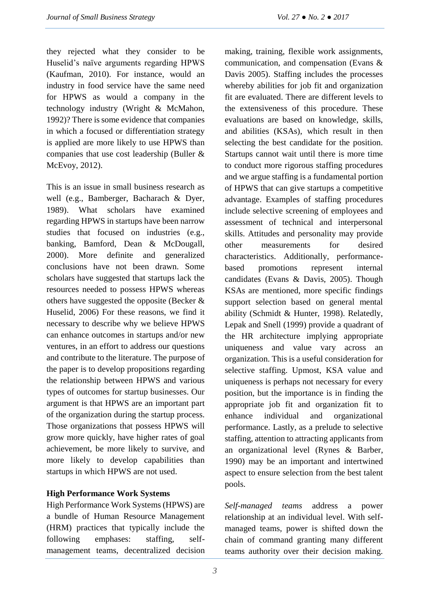they rejected what they consider to be Huselid's naïve arguments regarding HPWS (Kaufman, 2010). For instance, would an industry in food service have the same need for HPWS as would a company in the technology industry (Wright & McMahon, 1992)? There is some evidence that companies in which a focused or differentiation strategy is applied are more likely to use HPWS than companies that use cost leadership (Buller & McEvoy, 2012).

This is an issue in small business research as well (e.g., Bamberger, Bacharach & Dyer, 1989). What scholars have examined regarding HPWS in startups have been narrow studies that focused on industries (e.g., banking, Bamford, Dean & McDougall, 2000). More definite and generalized conclusions have not been drawn. Some scholars have suggested that startups lack the resources needed to possess HPWS whereas others have suggested the opposite (Becker & Huselid, 2006) For these reasons, we find it necessary to describe why we believe HPWS can enhance outcomes in startups and/or new ventures, in an effort to address our questions and contribute to the literature. The purpose of the paper is to develop propositions regarding the relationship between HPWS and various types of outcomes for startup businesses. Our argument is that HPWS are an important part of the organization during the startup process. Those organizations that possess HPWS will grow more quickly, have higher rates of goal achievement, be more likely to survive, and more likely to develop capabilities than startups in which HPWS are not used.

## **High Performance Work Systems**

High Performance Work Systems (HPWS) are a bundle of Human Resource Management (HRM) practices that typically include the following emphases: staffing, selfmanagement teams, decentralized decision making, training, flexible work assignments, communication, and compensation (Evans & Davis 2005). Staffing includes the processes whereby abilities for job fit and organization fit are evaluated. There are different levels to the extensiveness of this procedure. These evaluations are based on knowledge, skills, and abilities (KSAs), which result in then selecting the best candidate for the position. Startups cannot wait until there is more time to conduct more rigorous staffing procedures and we argue staffing is a fundamental portion of HPWS that can give startups a competitive advantage. Examples of staffing procedures include selective screening of employees and assessment of technical and interpersonal skills. Attitudes and personality may provide other measurements for desired characteristics. Additionally, performancebased promotions represent internal candidates (Evans & Davis, 2005). Though KSAs are mentioned, more specific findings support selection based on general mental ability (Schmidt & Hunter, 1998). Relatedly, Lepak and Snell (1999) provide a quadrant of the HR architecture implying appropriate uniqueness and value vary across an organization. This is a useful consideration for selective staffing. Upmost, KSA value and uniqueness is perhaps not necessary for every position, but the importance is in finding the appropriate job fit and organization fit to enhance individual and organizational performance. Lastly, as a prelude to selective staffing, attention to attracting applicants from an organizational level (Rynes & Barber, 1990) may be an important and intertwined aspect to ensure selection from the best talent pools.

*Self-managed teams* address a power relationship at an individual level. With selfmanaged teams, power is shifted down the chain of command granting many different teams authority over their decision making.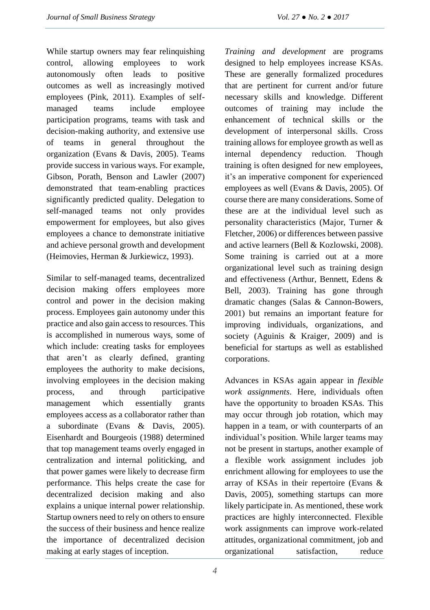While startup owners may fear relinquishing control, allowing employees to work autonomously often leads to positive outcomes as well as increasingly motived employees (Pink, 2011). Examples of selfmanaged teams include employee participation programs, teams with task and decision-making authority, and extensive use of teams in general throughout the organization (Evans & Davis, 2005). Teams provide success in various ways. For example, Gibson, Porath, Benson and Lawler (2007) demonstrated that team-enabling practices significantly predicted quality. Delegation to self-managed teams not only provides empowerment for employees, but also gives employees a chance to demonstrate initiative and achieve personal growth and development (Heimovies, Herman & Jurkiewicz, 1993).

Similar to self-managed teams, decentralized decision making offers employees more control and power in the decision making process. Employees gain autonomy under this practice and also gain access to resources. This is accomplished in numerous ways, some of which include: creating tasks for employees that aren't as clearly defined, granting employees the authority to make decisions, involving employees in the decision making process, and through participative management which essentially grants employees access as a collaborator rather than a subordinate (Evans & Davis, 2005). Eisenhardt and Bourgeois (1988) determined that top management teams overly engaged in centralization and internal politicking, and that power games were likely to decrease firm performance. This helps create the case for decentralized decision making and also explains a unique internal power relationship. Startup owners need to rely on others to ensure the success of their business and hence realize the importance of decentralized decision making at early stages of inception.

*Training and development* are programs designed to help employees increase KSAs. These are generally formalized procedures that are pertinent for current and/or future necessary skills and knowledge. Different outcomes of training may include the enhancement of technical skills or the development of interpersonal skills. Cross training allows for employee growth as well as internal dependency reduction. Though training is often designed for new employees, it's an imperative component for experienced employees as well (Evans & Davis, 2005). Of course there are many considerations. Some of these are at the individual level such as personality characteristics (Major, Turner & Fletcher, 2006) or differences between passive and active learners (Bell & Kozlowski, 2008). Some training is carried out at a more organizational level such as training design and effectiveness (Arthur, Bennett, Edens & Bell, 2003). Training has gone through dramatic changes (Salas & Cannon-Bowers, 2001) but remains an important feature for improving individuals, organizations, and society (Aguinis & Kraiger, 2009) and is beneficial for startups as well as established corporations.

Advances in KSAs again appear in *flexible work assignments*. Here, individuals often have the opportunity to broaden KSAs. This may occur through job rotation, which may happen in a team, or with counterparts of an individual's position. While larger teams may not be present in startups, another example of a flexible work assignment includes job enrichment allowing for employees to use the array of KSAs in their repertoire (Evans & Davis, 2005), something startups can more likely participate in. As mentioned, these work practices are highly interconnected. Flexible work assignments can improve work-related attitudes, organizational commitment, job and organizational satisfaction, reduce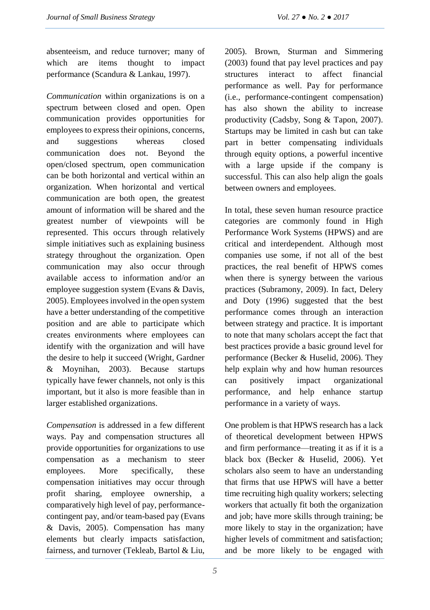absenteeism, and reduce turnover; many of which are items thought to impact performance (Scandura & Lankau, 1997).

*Communication* within organizations is on a spectrum between closed and open. Open communication provides opportunities for employees to express their opinions, concerns, and suggestions whereas closed communication does not. Beyond the open/closed spectrum, open communication can be both horizontal and vertical within an organization. When horizontal and vertical communication are both open, the greatest amount of information will be shared and the greatest number of viewpoints will be represented. This occurs through relatively simple initiatives such as explaining business strategy throughout the organization. Open communication may also occur through available access to information and/or an employee suggestion system (Evans & Davis, 2005). Employees involved in the open system have a better understanding of the competitive position and are able to participate which creates environments where employees can identify with the organization and will have the desire to help it succeed (Wright, Gardner & Moynihan, 2003). Because startups typically have fewer channels, not only is this important, but it also is more feasible than in larger established organizations.

*Compensation* is addressed in a few different ways. Pay and compensation structures all provide opportunities for organizations to use compensation as a mechanism to steer employees. More specifically, these compensation initiatives may occur through profit sharing, employee ownership, a comparatively high level of pay, performancecontingent pay, and/or team-based pay (Evans & Davis, 2005). Compensation has many elements but clearly impacts satisfaction, fairness, and turnover (Tekleab, Bartol & Liu, 2005). Brown, Sturman and Simmering (2003) found that pay level practices and pay structures interact to affect financial performance as well. Pay for performance (i.e., performance-contingent compensation) has also shown the ability to increase productivity (Cadsby, Song & Tapon, 2007). Startups may be limited in cash but can take part in better compensating individuals through equity options, a powerful incentive with a large upside if the company is successful. This can also help align the goals between owners and employees.

In total, these seven human resource practice categories are commonly found in High Performance Work Systems (HPWS) and are critical and interdependent. Although most companies use some, if not all of the best practices, the real benefit of HPWS comes when there is synergy between the various practices (Subramony, 2009). In fact, Delery and Doty (1996) suggested that the best performance comes through an interaction between strategy and practice. It is important to note that many scholars accept the fact that best practices provide a basic ground level for performance (Becker & Huselid, 2006). They help explain why and how human resources can positively impact organizational performance, and help enhance startup performance in a variety of ways.

One problem is that HPWS research has a lack of theoretical development between HPWS and firm performance—treating it as if it is a black box (Becker & Huselid, 2006). Yet scholars also seem to have an understanding that firms that use HPWS will have a better time recruiting high quality workers; selecting workers that actually fit both the organization and job; have more skills through training; be more likely to stay in the organization; have higher levels of commitment and satisfaction; and be more likely to be engaged with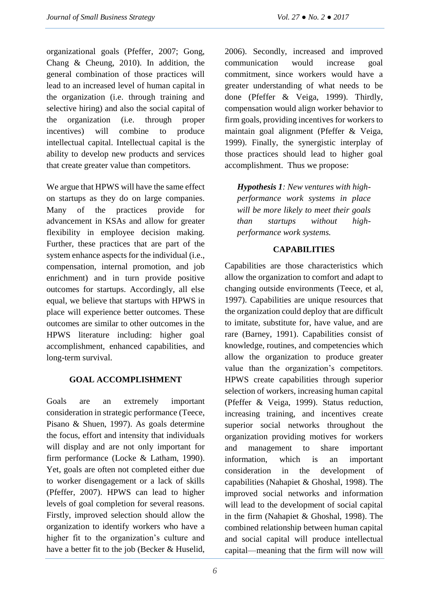organizational goals (Pfeffer, 2007; Gong, Chang & Cheung, 2010). In addition, the general combination of those practices will lead to an increased level of human capital in the organization (i.e. through training and selective hiring) and also the social capital of the organization (i.e. through proper incentives) will combine to produce intellectual capital. Intellectual capital is the ability to develop new products and services that create greater value than competitors.

We argue that HPWS will have the same effect on startups as they do on large companies. Many of the practices provide for advancement in KSAs and allow for greater flexibility in employee decision making. Further, these practices that are part of the system enhance aspects for the individual (i.e., compensation, internal promotion, and job enrichment) and in turn provide positive outcomes for startups. Accordingly, all else equal, we believe that startups with HPWS in place will experience better outcomes. These outcomes are similar to other outcomes in the HPWS literature including: higher goal accomplishment, enhanced capabilities, and long-term survival.

## **GOAL ACCOMPLISHMENT**

Goals are an extremely important consideration in strategic performance (Teece, Pisano & Shuen, 1997). As goals determine the focus, effort and intensity that individuals will display and are not only important for firm performance (Locke & Latham, 1990). Yet, goals are often not completed either due to worker disengagement or a lack of skills (Pfeffer, 2007). HPWS can lead to higher levels of goal completion for several reasons. Firstly, improved selection should allow the organization to identify workers who have a higher fit to the organization's culture and have a better fit to the job (Becker & Huselid, 2006). Secondly, increased and improved communication would increase goal commitment, since workers would have a greater understanding of what needs to be done (Pfeffer & Veiga, 1999). Thirdly, compensation would align worker behavior to firm goals, providing incentives for workers to maintain goal alignment (Pfeffer & Veiga, 1999). Finally, the synergistic interplay of those practices should lead to higher goal accomplishment. Thus we propose:

*Hypothesis 1: New ventures with highperformance work systems in place will be more likely to meet their goals than startups without highperformance work systems.*

### **CAPABILITIES**

Capabilities are those characteristics which allow the organization to comfort and adapt to changing outside environments (Teece, et al, 1997). Capabilities are unique resources that the organization could deploy that are difficult to imitate, substitute for, have value, and are rare (Barney, 1991). Capabilities consist of knowledge, routines, and competencies which allow the organization to produce greater value than the organization's competitors. HPWS create capabilities through superior selection of workers, increasing human capital (Pfeffer & Veiga, 1999). Status reduction, increasing training, and incentives create superior social networks throughout the organization providing motives for workers and management to share important information, which is an important consideration in the development of capabilities (Nahapiet & Ghoshal, 1998). The improved social networks and information will lead to the development of social capital in the firm (Nahapiet & Ghoshal, 1998). The combined relationship between human capital and social capital will produce intellectual capital—meaning that the firm will now will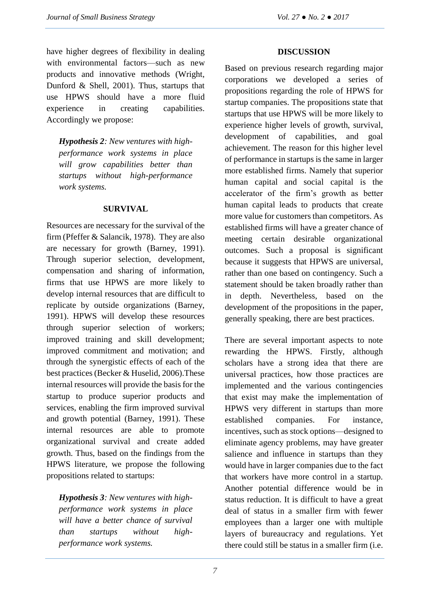have higher degrees of flexibility in dealing with environmental factors—such as new products and innovative methods (Wright, Dunford & Shell, 2001). Thus, startups that use HPWS should have a more fluid experience in creating capabilities. Accordingly we propose:

*Hypothesis 2: New ventures with highperformance work systems in place will grow capabilities better than startups without high-performance work systems.*

#### **SURVIVAL**

Resources are necessary for the survival of the firm (Pfeffer & Salancik, 1978). They are also are necessary for growth (Barney, 1991). Through superior selection, development, compensation and sharing of information, firms that use HPWS are more likely to develop internal resources that are difficult to replicate by outside organizations (Barney, 1991). HPWS will develop these resources through superior selection of workers; improved training and skill development; improved commitment and motivation; and through the synergistic effects of each of the best practices (Becker & Huselid, 2006).These internal resources will provide the basis for the startup to produce superior products and services, enabling the firm improved survival and growth potential (Barney, 1991). These internal resources are able to promote organizational survival and create added growth. Thus, based on the findings from the HPWS literature, we propose the following propositions related to startups:

*Hypothesis 3: New ventures with highperformance work systems in place will have a better chance of survival than startups without highperformance work systems.*

#### **DISCUSSION**

Based on previous research regarding major corporations we developed a series of propositions regarding the role of HPWS for startup companies. The propositions state that startups that use HPWS will be more likely to experience higher levels of growth, survival, development of capabilities, and goal achievement. The reason for this higher level of performance in startups is the same in larger more established firms. Namely that superior human capital and social capital is the accelerator of the firm's growth as better human capital leads to products that create more value for customers than competitors. As established firms will have a greater chance of meeting certain desirable organizational outcomes. Such a proposal is significant because it suggests that HPWS are universal, rather than one based on contingency. Such a statement should be taken broadly rather than in depth. Nevertheless, based on the development of the propositions in the paper, generally speaking, there are best practices.

There are several important aspects to note rewarding the HPWS. Firstly, although scholars have a strong idea that there are universal practices, how those practices are implemented and the various contingencies that exist may make the implementation of HPWS very different in startups than more established companies. For instance, incentives, such as stock options—designed to eliminate agency problems, may have greater salience and influence in startups than they would have in larger companies due to the fact that workers have more control in a startup. Another potential difference would be in status reduction. It is difficult to have a great deal of status in a smaller firm with fewer employees than a larger one with multiple layers of bureaucracy and regulations. Yet there could still be status in a smaller firm (i.e.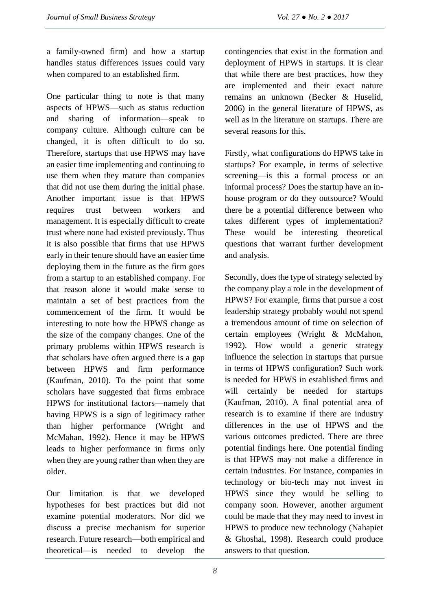a family-owned firm) and how a startup handles status differences issues could vary when compared to an established firm.

One particular thing to note is that many aspects of HPWS—such as status reduction and sharing of information—speak to company culture. Although culture can be changed, it is often difficult to do so. Therefore, startups that use HPWS may have an easier time implementing and continuing to use them when they mature than companies that did not use them during the initial phase. Another important issue is that HPWS requires trust between workers and management. It is especially difficult to create trust where none had existed previously. Thus it is also possible that firms that use HPWS early in their tenure should have an easier time deploying them in the future as the firm goes from a startup to an established company. For that reason alone it would make sense to maintain a set of best practices from the commencement of the firm. It would be interesting to note how the HPWS change as the size of the company changes. One of the primary problems within HPWS research is that scholars have often argued there is a gap between HPWS and firm performance (Kaufman, 2010). To the point that some scholars have suggested that firms embrace HPWS for institutional factors—namely that having HPWS is a sign of legitimacy rather than higher performance (Wright and McMahan, 1992). Hence it may be HPWS leads to higher performance in firms only when they are young rather than when they are older.

Our limitation is that we developed hypotheses for best practices but did not examine potential moderators. Nor did we discuss a precise mechanism for superior research. Future research—both empirical and theoretical—is needed to develop the contingencies that exist in the formation and deployment of HPWS in startups. It is clear that while there are best practices, how they are implemented and their exact nature remains an unknown (Becker & Huselid, 2006) in the general literature of HPWS, as well as in the literature on startups. There are several reasons for this.

Firstly, what configurations do HPWS take in startups? For example, in terms of selective screening—is this a formal process or an informal process? Does the startup have an inhouse program or do they outsource? Would there be a potential difference between who takes different types of implementation? These would be interesting theoretical questions that warrant further development and analysis.

Secondly, does the type of strategy selected by the company play a role in the development of HPWS? For example, firms that pursue a cost leadership strategy probably would not spend a tremendous amount of time on selection of certain employees (Wright & McMahon, 1992). How would a generic strategy influence the selection in startups that pursue in terms of HPWS configuration? Such work is needed for HPWS in established firms and will certainly be needed for startups (Kaufman, 2010). A final potential area of research is to examine if there are industry differences in the use of HPWS and the various outcomes predicted. There are three potential findings here. One potential finding is that HPWS may not make a difference in certain industries. For instance, companies in technology or bio-tech may not invest in HPWS since they would be selling to company soon. However, another argument could be made that they may need to invest in HPWS to produce new technology (Nahapiet & Ghoshal, 1998). Research could produce answers to that question.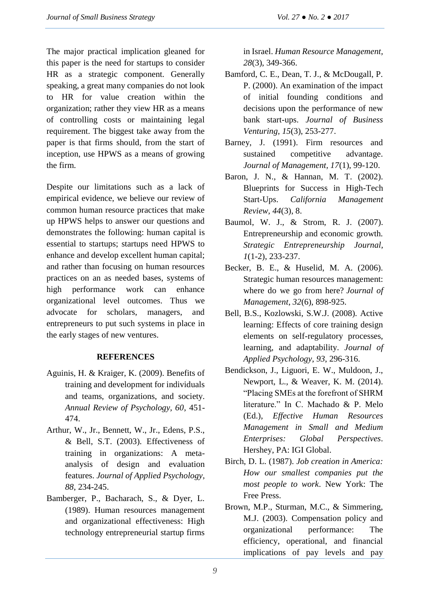The major practical implication gleaned for this paper is the need for startups to consider HR as a strategic component. Generally speaking, a great many companies do not look to HR for value creation within the organization; rather they view HR as a means of controlling costs or maintaining legal requirement. The biggest take away from the paper is that firms should, from the start of inception, use HPWS as a means of growing the firm.

Despite our limitations such as a lack of empirical evidence, we believe our review of common human resource practices that make up HPWS helps to answer our questions and demonstrates the following: human capital is essential to startups; startups need HPWS to enhance and develop excellent human capital; and rather than focusing on human resources practices on an as needed bases, systems of high performance work can enhance organizational level outcomes. Thus we advocate for scholars, managers, and entrepreneurs to put such systems in place in the early stages of new ventures.

## **REFERENCES**

- Aguinis, H. & Kraiger, K. (2009). Benefits of training and development for individuals and teams, organizations, and society. *Annual Review of Psychology, 60*, 451- 474.
- Arthur, W., Jr., Bennett, W., Jr., Edens, P.S., & Bell, S.T. (2003). Effectiveness of training in organizations: A metaanalysis of design and evaluation features. *Journal of Applied Psychology, 88*, 234-245.
- Bamberger, P., Bacharach, S., & Dyer, L. (1989). Human resources management and organizational effectiveness: High technology entrepreneurial startup firms

in Israel. *Human Resource Management, 28*(3), 349-366.

- Bamford, C. E., Dean, T. J., & McDougall, P. P. (2000). An examination of the impact of initial founding conditions and decisions upon the performance of new bank start-ups. *Journal of Business Venturing, 15*(3), 253-277.
- Barney, J. (1991). Firm resources and sustained competitive advantage. *Journal of Management, 17*(1), 99-120.
- Baron, J. N., & Hannan, M. T. (2002). Blueprints for Success in High-Tech Start-Ups. *California Management Review, 44*(3), 8.
- Baumol, W. J., & Strom, R. J. (2007). Entrepreneurship and economic growth. *Strategic Entrepreneurship Journal, 1*(1-2), 233-237.
- Becker, B. E., & Huselid, M. A. (2006). Strategic human resources management: where do we go from here? *Journal of Management*, *32*(6), 898-925.
- Bell, B.S., Kozlowski, S.W.J. (2008). Active learning: Effects of core training design elements on self-regulatory processes, learning, and adaptability. *Journal of Applied Psychology*, *93*, 296-316.
- Bendickson, J., Liguori, E. W., Muldoon, J., Newport, L., & Weaver, K. M. (2014). "Placing SMEs at the forefront of SHRM literature." In C. Machado & P. Melo (Ed.), *Effective Human Resources Management in Small and Medium Enterprises: Global Perspectives*. Hershey, PA: IGI Global.
- Birch, D. L. (1987). *Job creation in America: How our smallest companies put the most people to work*. New York: The Free Press.
- Brown, M.P., Sturman, M.C., & Simmering, M.J. (2003). Compensation policy and organizational performance: The efficiency, operational, and financial implications of pay levels and pay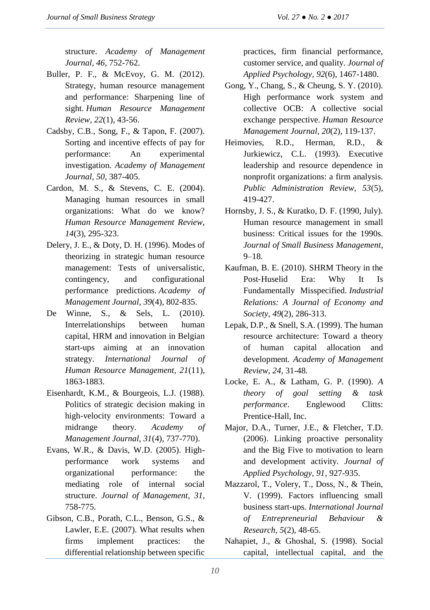structure. *Academy of Management Journal, 46*, 752-762.

- Buller, P. F., & McEvoy, G. M. (2012). Strategy, human resource management and performance: Sharpening line of sight. *Human Resource Management Review*, *22*(1), 43-56.
- Cadsby, C.B., Song, F., & Tapon, F. (2007). Sorting and incentive effects of pay for performance: An experimental investigation. *Academy of Management Journal, 50*, 387-405.
- Cardon, M. S., & Stevens, C. E. (2004). Managing human resources in small organizations: What do we know? *Human Resource Management Review, 14*(3), 295-323.
- Delery, J. E., & Doty, D. H. (1996). Modes of theorizing in strategic human resource management: Tests of universalistic, contingency, and configurational performance predictions. *Academy of Management Journal*, *39*(4), 802-835.
- De Winne, S., & Sels, L. (2010). Interrelationships between human capital, HRM and innovation in Belgian start-ups aiming at an innovation strategy. *International Journal of Human Resource Management, 21*(11), 1863-1883.
- Eisenhardt, K.M., & Bourgeois, L.J. (1988). Politics of strategic decision making in high-velocity environments: Toward a midrange theory. *Academy of Management Journal, 31*(4), 737-770).
- Evans, W.R., & Davis, W.D. (2005). Highperformance work systems and organizational performance: the mediating role of internal social structure. *Journal of Management, 31*, 758-775.
- Gibson, C.B., Porath, C.L., Benson, G.S., & Lawler, E.E. (2007). What results when firms implement practices: the differential relationship between specific

practices, firm financial performance, customer service, and quality. *Journal of Applied Psychology, 92*(6), 1467-1480.

- Gong, Y., Chang, S., & Cheung, S. Y. (2010). High performance work system and collective OCB: A collective social exchange perspective. *Human Resource Management Journal*, *20*(2), 119-137.
- Heimovies, R.D., Herman, R.D., & Jurkiewicz, C.L. (1993). Executive leadership and resource dependence in nonprofit organizations: a firm analysis. *Public Administration Review, 53*(5), 419-427.
- Hornsby, J. S., & Kuratko, D. F. (1990, July). Human resource management in small business: Critical issues for the 1990s. *Journal of Small Business Management*, 9–18.
- Kaufman, B. E. (2010). SHRM Theory in the Post‐Huselid Era: Why It Is Fundamentally Misspecified. *Industrial Relations: A Journal of Economy and Society*, *49*(2), 286-313.
- Lepak, D.P., & Snell, S.A. (1999). The human resource architecture: Toward a theory of human capital allocation and development. *Academy of Management Review, 24*, 31-48.
- Locke, E. A., & Latham, G. P. (1990). *A theory of goal setting & task performance*. Englewood Clitts: Prentice-Hall, Inc.
- Major, D.A., Turner, J.E., & Fletcher, T.D. (2006). Linking proactive personality and the Big Five to motivation to learn and development activity. *Journal of Applied Psychology, 91*, 927-935.
- Mazzarol, T., Volery, T., Doss, N., & Thein, V. (1999). Factors influencing small business start-ups. *International Journal of Entrepreneurial Behaviour & Research, 5*(2), 48-65.
- Nahapiet, J., & Ghoshal, S. (1998). Social capital, intellectual capital, and the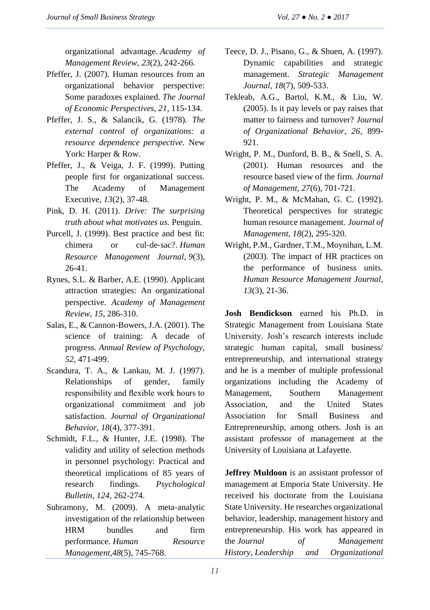organizational advantage. *Academy of Management Review*, *23*(2), 242-266.

- Pfeffer, J. (2007). Human resources from an organizational behavior perspective: Some paradoxes explained. *The Journal of Economic Perspectives*, *21*, 115-134.
- Pfeffer, J. S., & Salancik, G. (1978). *The external control of organizations: a resource dependence perspective.* New York: Harper & Row.
- Pfeffer, J., & Veiga, J. F. (1999). Putting people first for organizational success. The Academy of Management Executive, *13*(2), 37-48.
- Pink, D. H. (2011). *Drive: The surprising truth about what motivates us.* Penguin.
- Purcell, J. (1999). Best practice and best fit: chimera or cul‐de‐sac?. *Human Resource Management Journal*, *9*(3), 26-41.
- Rynes, S.L. & Barber, A.E. (1990). Applicant attraction strategies: An organizational perspective. *Academy of Management Review*, *15*, 286-310.
- Salas, E., & Cannon-Bowers, J.A. (2001). The science of training: A decade of progress. *Annual Review of Psychology, 52*, 471-499.
- Scandura, T. A., & Lankau, M. J. (1997). Relationships of gender, family responsibility and flexible work hours to organizational commitment and job satisfaction. *Journal of Organizational Behavior, 18*(4), 377-391.
- Schmidt, F.L., & Hunter, J.E. (1998). The validity and utility of selection methods in personnel psychology: Practical and theoretical implications of 85 years of research findings. *Psychological Bulletin, 124*, 262-274.
- Subramony, M. (2009). A meta-analytic investigation of the relationship between HRM bundles and firm performance. *Human Resource Management*,*48*(5), 745-768.
- Teece, D. J., Pisano, G., & Shuen, A. (1997). Dynamic capabilities and strategic management. *Strategic Management Journal, 18*(7), 509-533.
- Tekleab, A.G., Bartol, K.M., & Liu, W. (2005). Is it pay levels or pay raises that matter to fairness and turnover? *Journal of Organizational Behavior, 26*, 899- 921.
- Wright, P. M., Dunford, B. B., & Snell, S. A. (2001). Human resources and the resource based view of the firm. *Journal of Management, 27*(6), 701-721.
- Wright, P. M., & McMahan, G. C. (1992). Theoretical perspectives for strategic human resource management. *Journal of Management*, *18*(2), 295-320.
- Wright, P.M., Gardner, T.M., Moynihan, L.M. (2003). The impact of HR practices on the performance of business units. *Human Resource Management Journal, 13*(3), 21-36.

**Josh Bendickson** earned his Ph.D. in Strategic Management from Louisiana State University. Josh's research interests include strategic human capital, small business/ entrepreneurship, and international strategy and he is a member of multiple professional organizations including the Academy of Management, Southern Management Association, and the United States Association for Small Business and Entrepreneurship, among others. Josh is an assistant professor of management at the University of Louisiana at Lafayette.

**Jeffrey Muldoon** is an assistant professor of management at Emporia State University. He received his doctorate from the Louisiana State University. He researches organizational behavior, leadership, management history and entrepreneurship. His work has appeared in the *Journal of Management History*, *Leadership and Organizational*